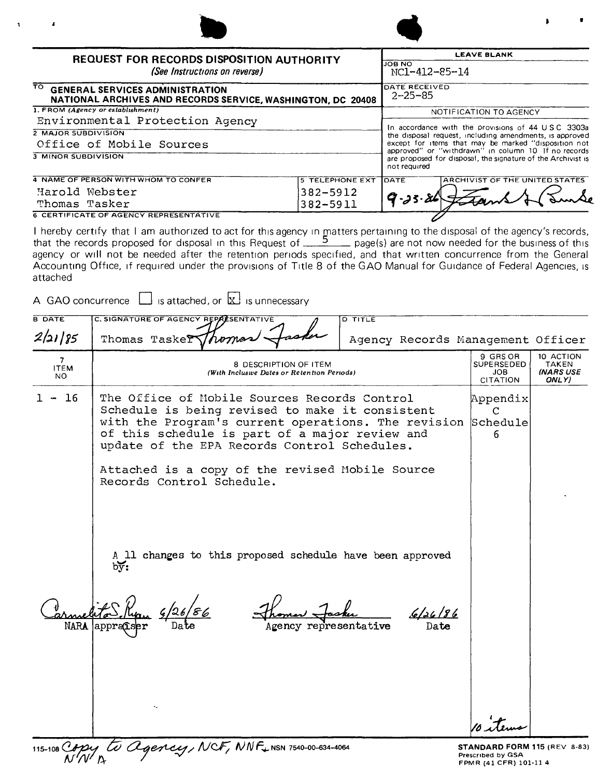| <b>REQUEST FOR RECORDS DISPOSITION AUTHORITY</b>                                                                                              | <b>LEAVE BLANK</b>                                                                                              |                                                                                                                                     |  |  |
|-----------------------------------------------------------------------------------------------------------------------------------------------|-----------------------------------------------------------------------------------------------------------------|-------------------------------------------------------------------------------------------------------------------------------------|--|--|
| (See Instructions on reverse)                                                                                                                 | JOB NO<br>NC1-412-85-14                                                                                         |                                                                                                                                     |  |  |
| $\overline{\mathrm{\tau}\mathrm{o}}$<br><b>GENERAL SERVICES ADMINISTRATION</b><br>NATIONAL ARCHIVES AND RECORDS SERVICE, WASHINGTON, DC 20408 |                                                                                                                 | DATE RECEIVED<br>$2 - 25 - 85$                                                                                                      |  |  |
| 1. FROM (Agency or establishment)                                                                                                             |                                                                                                                 | NOTIFICATION TO AGENCY                                                                                                              |  |  |
| Environmental Protection Agency                                                                                                               | In accordance with the provisions of 44 U.S.C. 3303a<br>the disposal request, including amendments, is approved |                                                                                                                                     |  |  |
| 2 MAJOR SUBDIVISION                                                                                                                           |                                                                                                                 |                                                                                                                                     |  |  |
| Office of Mobile Sources                                                                                                                      |                                                                                                                 | except for items that may be marked "disposition not                                                                                |  |  |
| <b>3 MINOR SUBDIVISION</b>                                                                                                                    |                                                                                                                 | approved" or "withdrawn" in column 10 If no records<br>are proposed for disposal, the signature of the Archivist is<br>not required |  |  |
| 4 NAME OF PERSON WITH WHOM TO CONFER                                                                                                          | <b>5 TELEPHONE EXT</b>                                                                                          | ARCHIVIST OF THE UNITED STATES<br>IDATE                                                                                             |  |  |
| Harold Webster                                                                                                                                | 382-5912                                                                                                        |                                                                                                                                     |  |  |
| Thomas Tasker                                                                                                                                 | 382-5911                                                                                                        | $9 - 33 - 84$                                                                                                                       |  |  |
| <b>6 CERTIFICATE OF AGENCY REPRESENTATIVE</b>                                                                                                 |                                                                                                                 |                                                                                                                                     |  |  |

I hereby certify that I am authorized to act for this agency in matters pertaining to the disposal of the agency's records,<br>that the records proposed for disposal in this Request of  $\frac{5}{2}$  page(s) are not now needed fo agency or will not be needed after the retention periods specified, and that written concurrence from the General Accounting Office, if required under the provisions of Title 8 of the GAO Manual for Guidance of Federal Agencies, is attached

A GAO concurrence  $\Box$  is attached, or  $\Box$  is unnecessary

| <b>B DATE</b>            | C. SIGNATURE OF AGENCY REPAESENTATIVE                                                                                                                                                                                                                    | <b>D TITLE</b> |      |                                                                                   |                                                        |
|--------------------------|----------------------------------------------------------------------------------------------------------------------------------------------------------------------------------------------------------------------------------------------------------|----------------|------|-----------------------------------------------------------------------------------|--------------------------------------------------------|
| 2/21/85                  | Thomas Tasker<br>homas                                                                                                                                                                                                                                   |                |      | Agency Records Management Officer                                                 |                                                        |
| 7.<br><b>ITEM</b><br>NO. | 8 DESCRIPTION OF ITEM<br>(With Inclusive Dates or Retention Periods)                                                                                                                                                                                     |                |      | 9 GRS OR<br><b>SUPERSEDED</b><br>JOB.<br><b>CITATION</b>                          | 10 ACTION<br><b>TAKEN</b><br><b>(NARS USE</b><br>ONLY) |
| 16<br>$1 -$              | The Office of Mobile Sources Records Control<br>Schedule is being revised to make it consistent<br>with the Program's current operations. The revision<br>of this schedule is part of a major review and<br>update of the EPA Records Control Schedules. |                |      | Appendix<br>C<br>Schedule<br>6                                                    |                                                        |
|                          | Attached is a copy of the revised Mobile Source<br>Records Control Schedule.<br>A 11 changes to this proposed schedule have been approved<br>$b\overline{y}$ :                                                                                           |                |      |                                                                                   |                                                        |
| <b>NARA</b>              | Agency representative<br> appraîser<br>۰.                                                                                                                                                                                                                |                | Date |                                                                                   |                                                        |
| 115-108 Copy             | to agency, NCF, NNF, NSR 7540-00-634-4064                                                                                                                                                                                                                |                |      | STANDARD FORM 115 (REV 8-83)<br>Prescribed by GSA<br><b>COMO 143 CEDV303 13 4</b> |                                                        |

FPMR (41 CFR) 101-11 4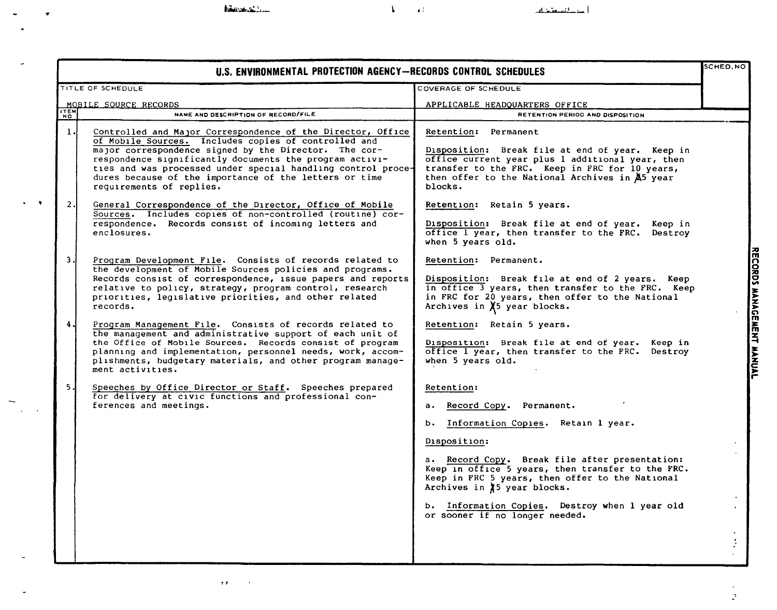$\sim$  100  $\pm$  100  $\pm$ 

 $\tilde{\mathbf{r}}$ 

 $\bar{\mathbf{a}}$ 

 $\sim$ 

 $\mathcal{A}$  $\ddot{\phantom{0}}$ 

 $\frac{1}{\sqrt{2}}\int_{\mathcal{X}}\frac{d\mathcal{X}}{d\mathcal{X}}\frac{d\mathcal{X}}{d\mathcal{X}}\frac{d\mathcal{X}}{d\mathcal{X}}\frac{d\mathcal{X}}{d\mathcal{X}}\frac{d\mathcal{X}}{d\mathcal{X}}\frac{d\mathcal{X}}{d\mathcal{X}}\frac{d\mathcal{X}}{d\mathcal{X}}\frac{d\mathcal{X}}{d\mathcal{X}}\frac{d\mathcal{X}}{d\mathcal{X}}\frac{d\mathcal{X}}{d\mathcal{X}}\frac{d\mathcal{X}}{d\mathcal{X}}\frac{$ 

 $\mathcal{L}^{\text{max}}$ 

 $\omega$ 

 $\pmb{\tau}$ 

 $\frac{1}{2}$ 

| U.S. ENVIRONMENTAL PROTECTION AGENCY-RECORDS CONTROL SCHEDULES |                                                                                                                                                                                                                                                                                                                                                                                               |                                                                                                                                                                                                                                                                                                                                                                                 |                           |  |
|----------------------------------------------------------------|-----------------------------------------------------------------------------------------------------------------------------------------------------------------------------------------------------------------------------------------------------------------------------------------------------------------------------------------------------------------------------------------------|---------------------------------------------------------------------------------------------------------------------------------------------------------------------------------------------------------------------------------------------------------------------------------------------------------------------------------------------------------------------------------|---------------------------|--|
| TITLE OF SCHEDULE<br>COVERAGE OF SCHEDULE                      |                                                                                                                                                                                                                                                                                                                                                                                               |                                                                                                                                                                                                                                                                                                                                                                                 |                           |  |
| MOBILE SOURCE RECORDS                                          |                                                                                                                                                                                                                                                                                                                                                                                               | APPLICABLE HEADQUARTERS OFFICE                                                                                                                                                                                                                                                                                                                                                  |                           |  |
| $\frac{1}{2}$                                                  | NAME AND DESCRIPTION OF RECORD/FILE                                                                                                                                                                                                                                                                                                                                                           | RETENTION PERIOD AND DISPOSITION                                                                                                                                                                                                                                                                                                                                                |                           |  |
| $\overline{1}$ .                                               | Controlled and Major Correspondence of the Director, Office<br>of Mobile Sources. Includes copies of controlled and<br>major correspondence signed by the Director. The cor-<br>respondence significantly documents the program activi-<br>ties and was processed under special handling control proce-<br>dures because of the importance of the letters or time<br>requirements of replies. | Retention: Permanent<br>Disposition: Break file at end of year. Keep in<br>office current year plus 1 additional year, then<br>transfer to the FRC. Keep in FRC for 10 years,<br>then offer to the National Archives in $\cancel{A}5$ year<br>blocks.                                                                                                                           |                           |  |
| 2.1                                                            | General Correspondence of the Director, Office of Mobile<br>Sources. Includes copies of non-controlled (routine) cor-<br>respondence. Records consist of incoming letters and<br>enclosures.                                                                                                                                                                                                  | Retention: Retain 5 years.<br>Disposition: Break file at end of year. Keep in<br>office I year, then transfer to the FRC. Destroy<br>when 5 years old.                                                                                                                                                                                                                          |                           |  |
| 3.                                                             | Program Development File. Consists of records related to<br>the development of Mobile Sources policies and programs.<br>Records consist of correspondence, issue papers and reports<br>relative to policy, strategy, program control, research<br>priorities, legislative priorities, and other related<br>records.                                                                           | Retention: Permanent.<br>Disposition: Break file at end of 2 years. Keep<br>in office 3 years, then transfer to the FRC. Keep<br>in FRC for 20 years, then offer to the National<br>Archives in $X^5$ year blocks.                                                                                                                                                              | RECORDS MANAGEMENT MANUAL |  |
| 4.                                                             | Program Management File. Consists of records related to<br>the management and administrative support of each unit of<br>the Office of Mobile Sources. Records consist of program<br>planning and implementation, personnel needs, work, accom-<br>plishments, budgetary materials, and other program manage-<br>ment activities.                                                              | Retention: Retain 5 years.<br>Disposition: Break file at end of year. Keep in<br>office 1 year, then transfer to the FRC.<br>Destroy<br>when 5 years old.                                                                                                                                                                                                                       |                           |  |
| 5.                                                             | Speeches by Office Director or Staff. Speeches prepared<br>for delivery at civic functions and professional con-<br>ferences and meetings.                                                                                                                                                                                                                                                    | Retention:<br>a. Record Copy. Permanent.<br>b. Information Copies. Retain 1 year.<br>Disposition:<br>a. Record Copy. Break file after presentation:<br>Keep in office 5 years, then transfer to the FRC.<br>Keep in FRC 5 years, then offer to the National<br>Archives in \$5 year blocks.<br>b. Information Copies. Destroy when 1 year old<br>or sooner if no longer needed. |                           |  |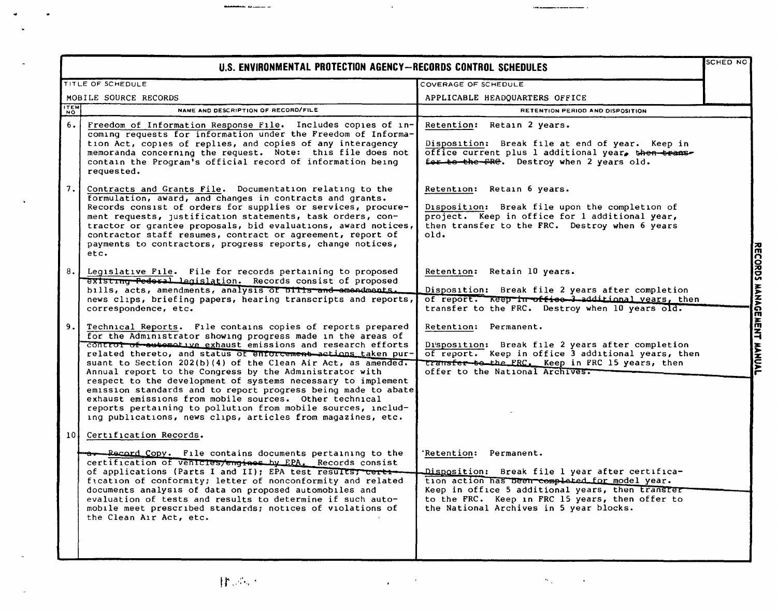|                 | U.S. ENVIRONMENTAL PROTECTION AGENCY-RECORDS CONTROL SCHEDULES                                                                                                                                                                                                                                                                                                                                                                                                                                                                                                                                                                                                                                                   |                                                                                                                                                                                                                                                                              | <b>SCHED NO</b> |
|-----------------|------------------------------------------------------------------------------------------------------------------------------------------------------------------------------------------------------------------------------------------------------------------------------------------------------------------------------------------------------------------------------------------------------------------------------------------------------------------------------------------------------------------------------------------------------------------------------------------------------------------------------------------------------------------------------------------------------------------|------------------------------------------------------------------------------------------------------------------------------------------------------------------------------------------------------------------------------------------------------------------------------|-----------------|
|                 | TITLE OF SCHEDULE                                                                                                                                                                                                                                                                                                                                                                                                                                                                                                                                                                                                                                                                                                | COVERAGE OF SCHEDULE                                                                                                                                                                                                                                                         |                 |
|                 | MOBILE SOURCE RECORDS                                                                                                                                                                                                                                                                                                                                                                                                                                                                                                                                                                                                                                                                                            | APPLICABLE HEADQUARTERS OFFICE                                                                                                                                                                                                                                               |                 |
| <b>ADA</b>      | NAME AND DESCRIPTION OF RECORD/FILE                                                                                                                                                                                                                                                                                                                                                                                                                                                                                                                                                                                                                                                                              | RETENTION PERIOD AND DISPOSITION                                                                                                                                                                                                                                             |                 |
| 6.              | Freedom of Information Response File. Includes copies of in-<br>coming requests for information under the Freedom of Informa-<br>tion Act, copies of replies, and copies of any interagency<br>memoranda concerning the request. Note: this file does not<br>contain the Program <sup>1</sup> s official record of information being<br>requested.                                                                                                                                                                                                                                                                                                                                                               | Retention: Retain 2 years.<br>Disposition: Break file at end of year. Keep in<br>office current plus 1 additional year, then trans-<br>for to the FRO. Destroy when 2 years old.                                                                                             |                 |
| 7.<br>8.        | Contracts and Grants File. Documentation relating to the<br>formulation, award, and changes in contracts and grants.<br>Records consist of orders for supplies or services, procure-<br>ment requests, justification statements, task orders, con-<br>tractor or grantee proposals, bid evaluations, award notices,<br>contractor staff resumes, contract or agreement, report of<br>payments to contractors, progress reports, change notices,<br>etc.                                                                                                                                                                                                                                                          | Retention: Retain 6 years.<br>Disposition: Break file upon the completion of<br>project. Keep in office for 1 additional year,<br>then transfer to the FRC. Destroy when 6 years<br>old.                                                                                     |                 |
|                 | Legislative File. File for records pertaining to proposed<br>existing Pederal legislation. Records consist of proposed<br>bills, acts, amendments, analysis of bills and emendments.<br>news clips, briefing papers, hearing transcripts and reports,<br>correspondence, etc.                                                                                                                                                                                                                                                                                                                                                                                                                                    | Retention: Retain 10 years.<br>Disposition: Break file 2 years after completion<br>of report. Keep in office 3 additional vears, then<br>transfer to the FRC. Destroy when 10 years old.                                                                                     |                 |
| 9.              | Technical Reports. File contains copies of reports prepared<br>for the Administrator showing progress made in the areas of<br>control of automotive exhaust emissions and research efforts<br>related thereto, and status of enforcement actions taken pur-<br>suant to Section 202(b)(4) of the Clean Air Act, as amended.<br>Annual report to the Congress by the Administrator with<br>respect to the development of systems necessary to implement<br>emission standards and to report progress being made to abate<br>exhaust emissions from mobile sources. Other technical<br>reports pertaining to pollution from mobile sources, includ-<br>ing publications, news clips, articles from magazines, etc. | Retention: Permanent.<br>Disposition: Break file 2 years after completion<br>of report. Keep in office 3 additional years, then<br>transfer-to the FRC. Keep in FRC 15 years, then<br>offer to the National Archives.                                                        |                 |
| 10 <sub>1</sub> | Certification Records.<br>a - Record Copy. File contains documents pertaining to the<br>certification of vehicles/engines_by_EPA. Records consist<br>of applications (Parts I and II); EPA test results; certi-<br>fication of conformity; letter of nonconformity and related<br>documents analysis of data on proposed automobiles and<br>evaluation of tests and results to determine if such auto-<br>mobile meet prescribed standards; notices of violations of<br>the Clean Air Act, etc.                                                                                                                                                                                                                  | Retention: Permanent.<br>Disposition: Break file 1 year after certifica-<br>tion action has been completed for model year.<br>Keep in office 5 additional years, then transfer<br>to the FRC. Keep in FRC 15 years, then offer to<br>the National Archives in 5 year blocks. |                 |

of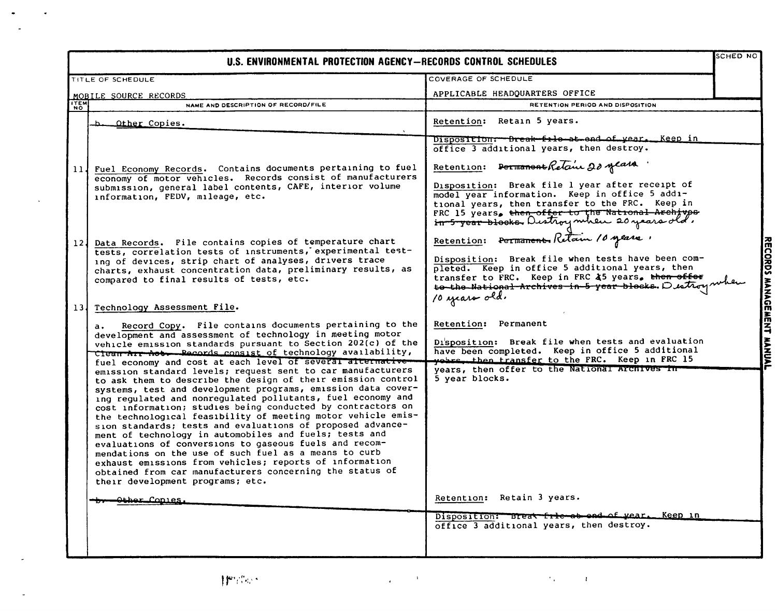| U.S. ENVIRONMENTAL PROTECTION AGENCY-RECORDS CONTROL SCHEDULES |                                                                                                                                                                                                                                                                                                                                                                                                                                                                                                                                                                                                                                                                                                                                                                                                                                                                                                                                                                                                                                                                                                                                     |                                                                                                                                                                                                                                                                                                                                                                                                                                                                                                                                                                                                                                                                      |  |  |
|----------------------------------------------------------------|-------------------------------------------------------------------------------------------------------------------------------------------------------------------------------------------------------------------------------------------------------------------------------------------------------------------------------------------------------------------------------------------------------------------------------------------------------------------------------------------------------------------------------------------------------------------------------------------------------------------------------------------------------------------------------------------------------------------------------------------------------------------------------------------------------------------------------------------------------------------------------------------------------------------------------------------------------------------------------------------------------------------------------------------------------------------------------------------------------------------------------------|----------------------------------------------------------------------------------------------------------------------------------------------------------------------------------------------------------------------------------------------------------------------------------------------------------------------------------------------------------------------------------------------------------------------------------------------------------------------------------------------------------------------------------------------------------------------------------------------------------------------------------------------------------------------|--|--|
|                                                                | TITLE OF SCHEDULE                                                                                                                                                                                                                                                                                                                                                                                                                                                                                                                                                                                                                                                                                                                                                                                                                                                                                                                                                                                                                                                                                                                   | COVERAGE OF SCHEDULE                                                                                                                                                                                                                                                                                                                                                                                                                                                                                                                                                                                                                                                 |  |  |
| MOBILE SOURCE RECORDS                                          |                                                                                                                                                                                                                                                                                                                                                                                                                                                                                                                                                                                                                                                                                                                                                                                                                                                                                                                                                                                                                                                                                                                                     | APPLICABLE HEADQUARTERS OFFICE                                                                                                                                                                                                                                                                                                                                                                                                                                                                                                                                                                                                                                       |  |  |
| <b>ITEM</b>                                                    | NAME AND DESCRIPTION OF RECORD/FILE                                                                                                                                                                                                                                                                                                                                                                                                                                                                                                                                                                                                                                                                                                                                                                                                                                                                                                                                                                                                                                                                                                 | RETENTION PERIOD AND DISPOSITION                                                                                                                                                                                                                                                                                                                                                                                                                                                                                                                                                                                                                                     |  |  |
|                                                                | Other Copies.<br>حطت                                                                                                                                                                                                                                                                                                                                                                                                                                                                                                                                                                                                                                                                                                                                                                                                                                                                                                                                                                                                                                                                                                                | Retention: Retain 5 years.                                                                                                                                                                                                                                                                                                                                                                                                                                                                                                                                                                                                                                           |  |  |
| 121                                                            | 11. Fuel Economy Records. Contains documents pertaining to fuel<br>economy of motor vehicles. Records consist of manufacturers<br>submission, general label contents, CAFE, interior volume<br>information, FEDV, mileage, etc.<br>Data Records. File contains copies of temperature chart<br>tests, correlation tests of instruments, experimental test-<br>ing of devices, strip chart of analyses, drivers trace<br>charts, exhaust concentration data, preliminary results, as<br>compared to final results of tests, etc.                                                                                                                                                                                                                                                                                                                                                                                                                                                                                                                                                                                                      | Disposition: Dreak-file at end of year. Keep in<br>office 3 additional years, then destroy.<br>Retention: Permanent Retain 20 years.<br>Disposition: Break file 1 year after receipt of<br>model year information. Keep in office 5 add1-<br>tional years, then transfer to the FRC. Keep in<br>FRC 15 years, then offer to the National Archives<br>in 5 year blocks. Dustroy muheu 20 years old,<br>Retention: Permanent. Retain 10 years.<br>Disposition: Break file when tests have been com-<br>pleted. Keep in office 5 additional years, then<br>transfer to FRC. Keep in FRC 45 years. then offer<br>to the National Archives in 5 year blocks. Destroy when |  |  |
| 131                                                            | Technology Assessment File.                                                                                                                                                                                                                                                                                                                                                                                                                                                                                                                                                                                                                                                                                                                                                                                                                                                                                                                                                                                                                                                                                                         |                                                                                                                                                                                                                                                                                                                                                                                                                                                                                                                                                                                                                                                                      |  |  |
|                                                                | Record Copy. File contains documents pertaining to the<br>$a_{\bullet}$<br>development and assessment of technology in meeting motor<br>vehicle emission standards pursuant to Section 202(c) of the<br>Clean Arr Act Pecords consist of technology availability,<br>fuel economy and cost at each level of several alternative-<br>emission standard levels; request sent to car manufacturers<br>to ask them to describe the design of their emission control<br>systems, test and development programs, emission data cover-<br>ing regulated and nonregulated pollutants, fuel economy and<br>cost information; studies being conducted by contractors on<br>the technological feasibility of meeting motor vehicle emis-<br>sion standards; tests and evaluations of proposed advance-<br>ment of technology in automobiles and fuels; tests and<br>evaluations of conversions to gaseous fuels and recom-<br>mendations on the use of such fuel as a means to curb<br>exhaust emissions from vehicles; reports of information<br>obtained from car manufacturers concerning the status of<br>their development programs; etc. | Retention: Permanent<br>Disposition: Break file when tests and evaluation<br>have been completed. Keep in office 5 additional<br>yobrs. then transfer to the FRC. Keep in FRC 15<br>years, then offer to the National Archives in-<br>5 year blocks.                                                                                                                                                                                                                                                                                                                                                                                                                 |  |  |
|                                                                | <del>Other Con</del> ies.                                                                                                                                                                                                                                                                                                                                                                                                                                                                                                                                                                                                                                                                                                                                                                                                                                                                                                                                                                                                                                                                                                           | Retention: Retain 3 years.<br>Disposition: Breat frie at end of year. Keep in                                                                                                                                                                                                                                                                                                                                                                                                                                                                                                                                                                                        |  |  |
|                                                                |                                                                                                                                                                                                                                                                                                                                                                                                                                                                                                                                                                                                                                                                                                                                                                                                                                                                                                                                                                                                                                                                                                                                     | office 3 additional years, then destroy.                                                                                                                                                                                                                                                                                                                                                                                                                                                                                                                                                                                                                             |  |  |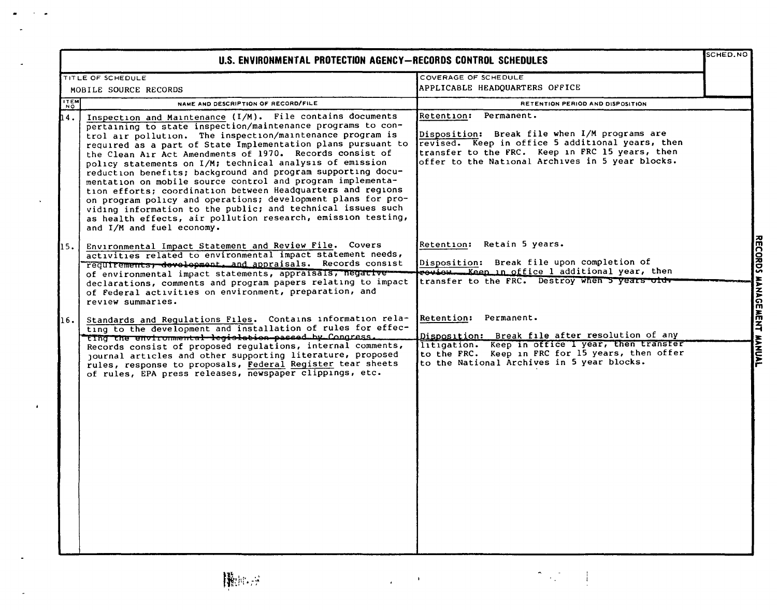|                       | U.S. ENVIRONMENTAL PROTECTION AGENCY-RECORDS CONTROL SCHEDULES                                                                                                                                                                                                                                                                                                                                                                                                                                                                                                                                                                                                                                                                                                                                        |                                                                                                                                                                                                                                             | SCHED.NO |
|-----------------------|-------------------------------------------------------------------------------------------------------------------------------------------------------------------------------------------------------------------------------------------------------------------------------------------------------------------------------------------------------------------------------------------------------------------------------------------------------------------------------------------------------------------------------------------------------------------------------------------------------------------------------------------------------------------------------------------------------------------------------------------------------------------------------------------------------|---------------------------------------------------------------------------------------------------------------------------------------------------------------------------------------------------------------------------------------------|----------|
|                       | TITLE OF SCHEDULE                                                                                                                                                                                                                                                                                                                                                                                                                                                                                                                                                                                                                                                                                                                                                                                     | COVERAGE OF SCHEDULE                                                                                                                                                                                                                        |          |
| MOBILE SOURCE RECORDS |                                                                                                                                                                                                                                                                                                                                                                                                                                                                                                                                                                                                                                                                                                                                                                                                       | APPLICABLE HEADOUARTERS OFFICE                                                                                                                                                                                                              |          |
| $\frac{1}{N}$         | NAME AND DESCRIPTION OF RECORD/FILE                                                                                                                                                                                                                                                                                                                                                                                                                                                                                                                                                                                                                                                                                                                                                                   | RETENTION PERIOD AND DISPOSITION                                                                                                                                                                                                            |          |
| 14.                   | Inspection and Maintenance (I/M). File contains documents<br>pertaining to state inspection/maintenance programs to con-<br>trol air pollution. The inspection/maintenance program is<br>required as a part of State Implementation plans pursuant to<br>the Clean Air Act Amendments of 1970. Records consist of<br>policy statements on I/M; technical analysis of emission<br>reduction benefits; background and program supporting docu-<br>mentation on mobile source control and program implementa-<br>tion efforts; coordination between Headquarters and regions<br>on program policy and operations; development plans for pro-<br>viding information to the public; and technical issues such<br>as health effects, air pollution research, emission testing,<br>and I/M and fuel economy. | Permanent.<br><b>Retention:</b><br>Disposition: Break file when I/M programs are<br>revised. Keep in office 5 additional years, then<br>transfer to the FRC. Keep in FRC 15 years, then<br>offer to the National Archives in 5 year blocks. |          |
| 15.                   | Environmental Impact Statement and Review File. Covers<br>activities related to environmental impact statement needs,<br>requirements, development, and appraisals. Records consist<br>of environmental impact statements, appraisals, negative<br>declarations, comments and program papers relating to impact<br>of Federal activities on environment, preparation, and<br>review summaries.                                                                                                                                                                                                                                                                                                                                                                                                        | Retention: Retain 5 years.<br>Disposition: Break file upon completion of<br>rewiew. Keep in office I additional year, then<br>transfer to the FRC. Destroy when 5 years olds                                                                |          |
| 16.                   | Standards and Regulations Files. Contains information rela-<br>ting to the development and installation of rules for effec-                                                                                                                                                                                                                                                                                                                                                                                                                                                                                                                                                                                                                                                                           | Retention: Permanent.                                                                                                                                                                                                                       |          |
|                       | ting the environmental legislation passed by Congress.<br>Records consist of proposed regulations, internal comments,<br>journal articles and other supporting literature, proposed<br>rules, response to proposals, Federal Register tear sheets<br>of rules, EPA press releases, newspaper clippings, etc.                                                                                                                                                                                                                                                                                                                                                                                                                                                                                          | Disposition: Break file after resolution of any<br>litigation. Keep in office I year, then transfer<br>to the FRC. Keep in FRC for 15 years, then offer<br>to the National Archives in 5 year blocks.                                       |          |

 $\mathbf{F}$ 

 $\mathbf{r}$ 

 $\bar{a}$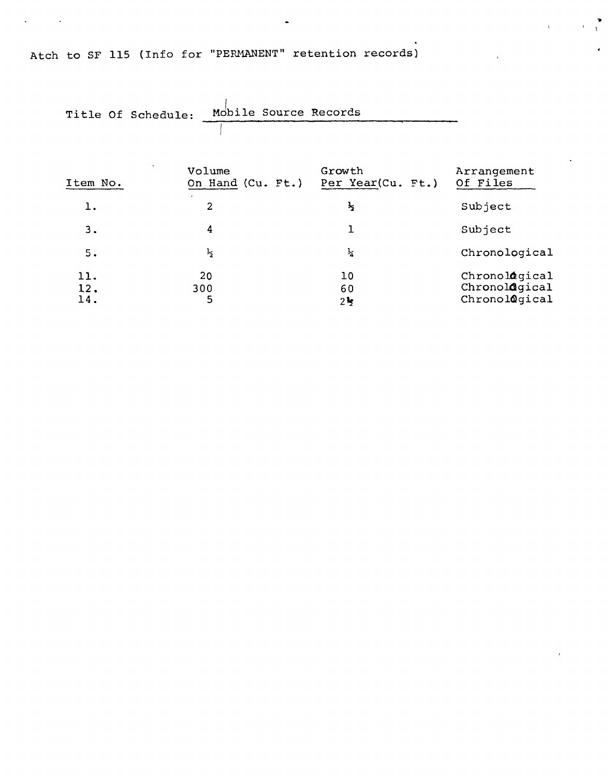Atch to SF 115 (Info for "PERHANENT" retention records)

| Title Of Schedule: | MODITE SOULCE RECOLCE       |                             |                                                 |
|--------------------|-----------------------------|-----------------------------|-------------------------------------------------|
|                    |                             |                             |                                                 |
| Item No.           | Volume<br>On Hand (Cu. Ft.) | Growth<br>Per Year(Cu. Ft.) | Arrangement<br>Of Files                         |
| ı.                 | $\overline{2}$              | $\frac{1}{2}$               | Subject                                         |
| 3.                 | 4                           | ı                           | Subject                                         |
| 5.                 | $\frac{1}{2}$               | $\frac{1}{4}$               | Chronological                                   |
| 11.<br>12.<br>14.  | 20<br>300<br>5              | 10<br>60<br>$2\frac{1}{2}$  | Chronological<br>Chronological<br>Chronological |

 $\mathbf{r}^{\left(1\right)}$ 

 $\mathcal{L}$ 

 $\ddot{\phantom{a}}$ 

| Title Of Schedule: |  | Mobile Source Records |
|--------------------|--|-----------------------|
|                    |  |                       |

 $\mathbf{r} = \left\{ \mathbf{r} \in \mathbb{R}^d \mid \mathbf{r} \in \mathbb{R}^d \right\}$